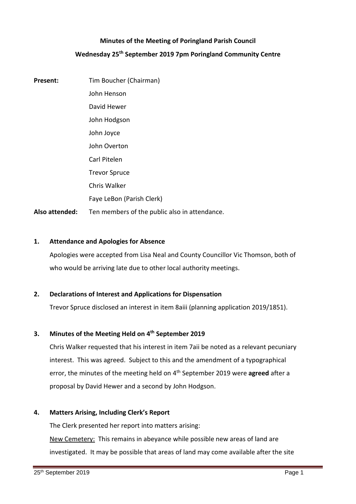## **Minutes of the Meeting of Poringland Parish Council**

## **Wednesday 25th September 2019 7pm Poringland Community Centre**

**Present:** Tim Boucher (Chairman) John Henson David Hewer John Hodgson John Joyce John Overton Carl Pitelen Trevor Spruce Chris Walker Faye LeBon (Parish Clerk) Also attended: Ten members of the public also in attendance.

## **1. Attendance and Apologies for Absence**

Apologies were accepted from Lisa Neal and County Councillor Vic Thomson, both of who would be arriving late due to other local authority meetings.

## **2. Declarations of Interest and Applications for Dispensation**

Trevor Spruce disclosed an interest in item 8aiii (planning application 2019/1851).

## **3. Minutes of the Meeting Held on 4 th September 2019**

Chris Walker requested that his interest in item 7aii be noted as a relevant pecuniary interest. This was agreed. Subject to this and the amendment of a typographical error, the minutes of the meeting held on 4 th September 2019 were **agreed** after a proposal by David Hewer and a second by John Hodgson.

### **4. Matters Arising, Including Clerk's Report**

The Clerk presented her report into matters arising: New Cemetery: This remains in abeyance while possible new areas of land are investigated. It may be possible that areas of land may come available after the site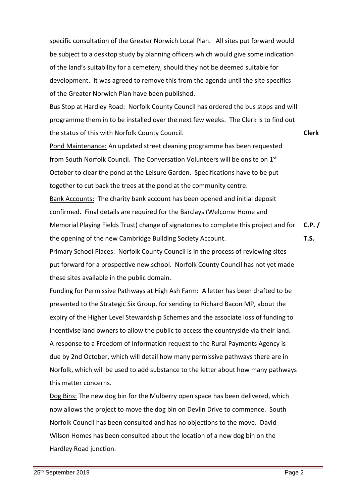specific consultation of the Greater Norwich Local Plan. All sites put forward would be subject to a desktop study by planning officers which would give some indication of the land's suitability for a cemetery, should they not be deemed suitable for development. It was agreed to remove this from the agenda until the site specifics of the Greater Norwich Plan have been published.

Bus Stop at Hardley Road: Norfolk County Council has ordered the bus stops and will programme them in to be installed over the next few weeks. The Clerk is to find out the status of this with Norfolk County Council.

Pond Maintenance: An updated street cleaning programme has been requested from South Norfolk Council. The Conversation Volunteers will be onsite on 1st October to clear the pond at the Leisure Garden. Specifications have to be put together to cut back the trees at the pond at the community centre. Bank Accounts: The charity bank account has been opened and initial deposit confirmed. Final details are required for the Barclays (Welcome Home and Memorial Playing Fields Trust) change of signatories to complete this project and for the opening of the new Cambridge Building Society Account. **C.P. / T.S.**

Primary School Places: Norfolk County Council is in the process of reviewing sites put forward for a prospective new school. Norfolk County Council has not yet made these sites available in the public domain.

Funding for Permissive Pathways at High Ash Farm: A letter has been drafted to be presented to the Strategic Six Group, for sending to Richard Bacon MP, about the expiry of the Higher Level Stewardship Schemes and the associate loss of funding to incentivise land owners to allow the public to access the countryside via their land. A response to a Freedom of Information request to the Rural Payments Agency is due by 2nd October, which will detail how many permissive pathways there are in Norfolk, which will be used to add substance to the letter about how many pathways this matter concerns.

Dog Bins: The new dog bin for the Mulberry open space has been delivered, which now allows the project to move the dog bin on Devlin Drive to commence. South Norfolk Council has been consulted and has no objections to the move. David Wilson Homes has been consulted about the location of a new dog bin on the Hardley Road junction.

**Clerk**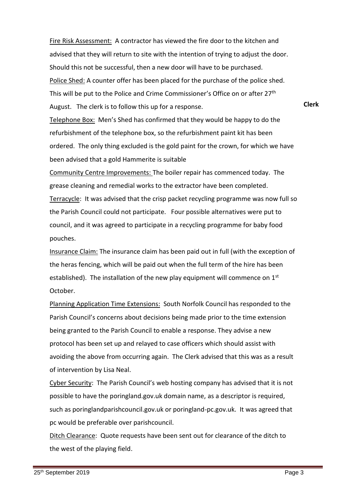Fire Risk Assessment: A contractor has viewed the fire door to the kitchen and advised that they will return to site with the intention of trying to adjust the door. Should this not be successful, then a new door will have to be purchased. Police Shed: A counter offer has been placed for the purchase of the police shed. This will be put to the Police and Crime Commissioner's Office on or after 27th August. The clerk is to follow this up for a response.

**Clerk**

Telephone Box: Men's Shed has confirmed that they would be happy to do the refurbishment of the telephone box, so the refurbishment paint kit has been ordered. The only thing excluded is the gold paint for the crown, for which we have been advised that a gold Hammerite is suitable

Community Centre Improvements: The boiler repair has commenced today. The grease cleaning and remedial works to the extractor have been completed. Terracycle: It was advised that the crisp packet recycling programme was now full so the Parish Council could not participate. Four possible alternatives were put to council, and it was agreed to participate in a recycling programme for baby food pouches.

Insurance Claim: The insurance claim has been paid out in full (with the exception of the heras fencing, which will be paid out when the full term of the hire has been established). The installation of the new play equipment will commence on 1<sup>st</sup> October.

Planning Application Time Extensions:South Norfolk Council has responded to the Parish Council's concerns about decisions being made prior to the time extension being granted to the Parish Council to enable a response. They advise a new protocol has been set up and relayed to case officers which should assist with avoiding the above from occurring again. The Clerk advised that this was as a result of intervention by Lisa Neal.

Cyber Security: The Parish Council's web hosting company has advised that it is not possible to have the poringland.gov.uk domain name, as a descriptor is required, such as poringlandparishcouncil.gov.uk or poringland-pc.gov.uk. It was agreed that pc would be preferable over parishcouncil.

Ditch Clearance: Quote requests have been sent out for clearance of the ditch to the west of the playing field.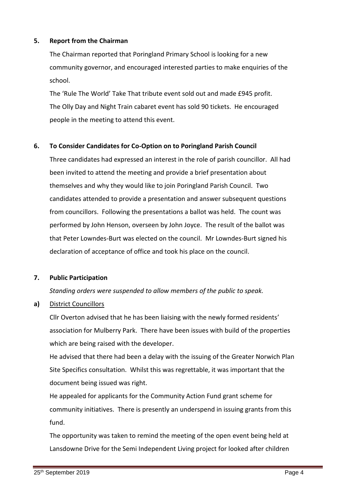#### **5. Report from the Chairman**

The Chairman reported that Poringland Primary School is looking for a new community governor, and encouraged interested parties to make enquiries of the school.

The 'Rule The World' Take That tribute event sold out and made £945 profit. The Olly Day and Night Train cabaret event has sold 90 tickets. He encouraged people in the meeting to attend this event.

#### **6. To Consider Candidates for Co-Option on to Poringland Parish Council**

Three candidates had expressed an interest in the role of parish councillor. All had been invited to attend the meeting and provide a brief presentation about themselves and why they would like to join Poringland Parish Council. Two candidates attended to provide a presentation and answer subsequent questions from councillors. Following the presentations a ballot was held. The count was performed by John Henson, overseen by John Joyce. The result of the ballot was that Peter Lowndes-Burt was elected on the council. Mr Lowndes-Burt signed his declaration of acceptance of office and took his place on the council.

## **7. Public Participation**

*Standing orders were suspended to allow members of the public to speak.*

**a)** District Councillors

Cllr Overton advised that he has been liaising with the newly formed residents' association for Mulberry Park. There have been issues with build of the properties which are being raised with the developer.

He advised that there had been a delay with the issuing of the Greater Norwich Plan Site Specifics consultation. Whilst this was regrettable, it was important that the document being issued was right.

He appealed for applicants for the Community Action Fund grant scheme for community initiatives. There is presently an underspend in issuing grants from this fund.

The opportunity was taken to remind the meeting of the open event being held at Lansdowne Drive for the Semi Independent Living project for looked after children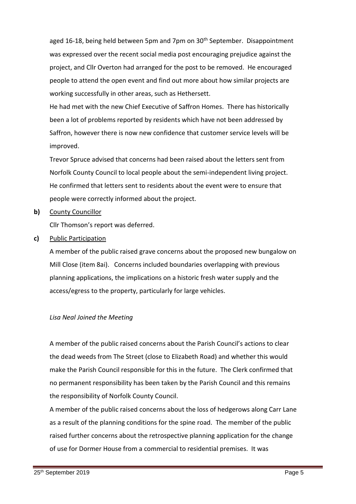aged 16-18, being held between 5pm and 7pm on 30<sup>th</sup> September. Disappointment was expressed over the recent social media post encouraging prejudice against the project, and Cllr Overton had arranged for the post to be removed. He encouraged people to attend the open event and find out more about how similar projects are working successfully in other areas, such as Hethersett.

He had met with the new Chief Executive of Saffron Homes. There has historically been a lot of problems reported by residents which have not been addressed by Saffron, however there is now new confidence that customer service levels will be improved.

Trevor Spruce advised that concerns had been raised about the letters sent from Norfolk County Council to local people about the semi-independent living project. He confirmed that letters sent to residents about the event were to ensure that people were correctly informed about the project.

## **b)** County Councillor

Cllr Thomson's report was deferred.

## **c)** Public Participation

A member of the public raised grave concerns about the proposed new bungalow on Mill Close (item 8ai). Concerns included boundaries overlapping with previous planning applications, the implications on a historic fresh water supply and the access/egress to the property, particularly for large vehicles.

## *Lisa Neal Joined the Meeting*

A member of the public raised concerns about the Parish Council's actions to clear the dead weeds from The Street (close to Elizabeth Road) and whether this would make the Parish Council responsible for this in the future. The Clerk confirmed that no permanent responsibility has been taken by the Parish Council and this remains the responsibility of Norfolk County Council.

A member of the public raised concerns about the loss of hedgerows along Carr Lane as a result of the planning conditions for the spine road. The member of the public raised further concerns about the retrospective planning application for the change of use for Dormer House from a commercial to residential premises. It was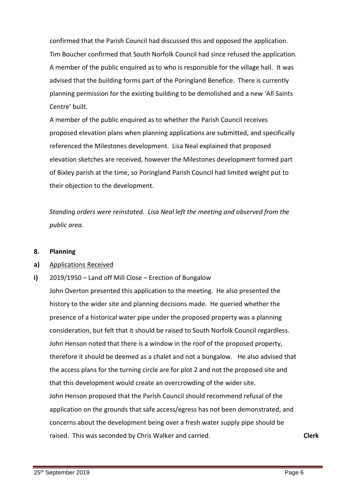confirmed that the Parish Council had discussed this and opposed the application. Tim Boucher confirmed that South Norfolk Council had since refused the application. A member of the public enquired as to who is responsible for the village hall. It was advised that the building forms part of the Poringland Benefice. There is currently planning permission for the existing building to be demolished and a new 'All Saints Centre' built.

A member of the public enquired as to whether the Parish Council receives proposed elevation plans when planning applications are submitted, and specifically referenced the Milestones development. Lisa Neal explained that proposed elevation sketches are received, however the Milestones development formed part of Bixley parish at the time, so Poringland Parish Council had limited weight put to their objection to the development.

*Standing orders were reinstated. Lisa Neal left the meeting and observed from the public area.*

#### **8. Planning**

#### **a)** Applications Received

**i)** 2019/1950 – Land off Mill Close – Erection of Bungalow

John Overton presented this application to the meeting. He also presented the history to the wider site and planning decisions made. He queried whether the presence of a historical water pipe under the proposed property was a planning consideration, but felt that it should be raised to South Norfolk Council regardless. John Henson noted that there is a window in the roof of the proposed property, therefore it should be deemed as a chalet and not a bungalow. He also advised that the access plans for the turning circle are for plot 2 and not the proposed site and that this development would create an overcrowding of the wider site. John Henson proposed that the Parish Council should recommend refusal of the application on the grounds that safe access/egress has not been demonstrated, and concerns about the development being over a fresh water supply pipe should be raised. This was seconded by Chris Walker and carried. **Clerk**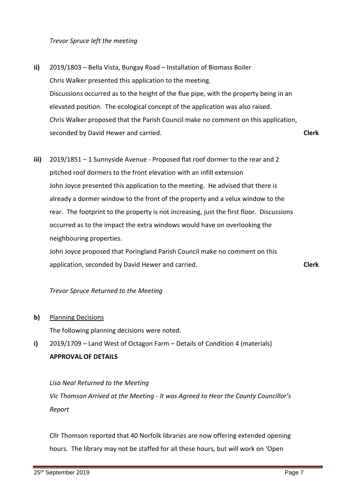*Trevor Spruce left the meeting* 

- **ii)** 2019/1803 – Bella Vista, Bungay Road – Installation of Biomass Boiler Chris Walker presented this application to the meeting. Discussions occurred as to the height of the flue pipe, with the property being in an elevated position. The ecological concept of the application was also raised. Chris Walker proposed that the Parish Council make no comment on this application, seconded by David Hewer and carried. **Clerk**
- **iii)** 2019/1851 – 1 Sunnyside Avenue - Proposed flat roof dormer to the rear and 2 pitched roof dormers to the front elevation with an infill extension John Joyce presented this application to the meeting. He advised that there is already a dormer window to the front of the property and a velux window to the rear. The footprint to the property is not increasing, just the first floor. Discussions occurred as to the impact the extra windows would have on overlooking the neighbouring properties.

John Joyce proposed that Poringland Parish Council make no comment on this application, seconded by David Hewer and carried.

*Trevor Spruce Returned to the Meeting*

**b)** Planning Decisions

The following planning decisions were noted.

**i)** 2019/1709 – Land West of Octagon Farm – Details of Condition 4 (materials) **APPROVAL OF DETAILS**

*Lisa Neal Returned to the Meeting Vic Thomson Arrived at the Meeting - It was Agreed to Hear the County Councillor's Report* 

Cllr Thomson reported that 40 Norfolk libraries are now offering extended opening hours. The library may not be staffed for all these hours, but will work on 'Open

**Clerk**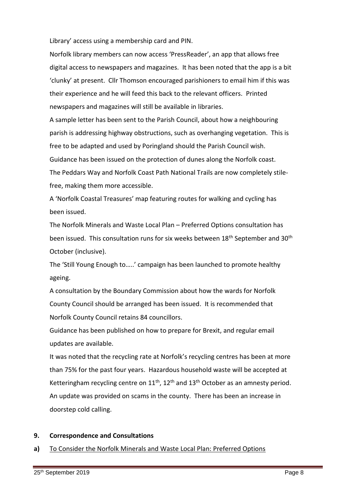Library' access using a membership card and PIN.

Norfolk library members can now access 'PressReader', an app that allows free digital access to newspapers and magazines. It has been noted that the app is a bit 'clunky' at present. Cllr Thomson encouraged parishioners to email him if this was their experience and he will feed this back to the relevant officers. Printed newspapers and magazines will still be available in libraries.

A sample letter has been sent to the Parish Council, about how a neighbouring parish is addressing highway obstructions, such as overhanging vegetation. This is free to be adapted and used by Poringland should the Parish Council wish. Guidance has been issued on the protection of dunes along the Norfolk coast.

The Peddars Way and Norfolk Coast Path National Trails are now completely stilefree, making them more accessible.

A 'Norfolk Coastal Treasures' map featuring routes for walking and cycling has been issued.

The Norfolk Minerals and Waste Local Plan – Preferred Options consultation has been issued. This consultation runs for six weeks between 18<sup>th</sup> September and 30<sup>th</sup> October (inclusive).

The 'Still Young Enough to…..' campaign has been launched to promote healthy ageing.

A consultation by the Boundary Commission about how the wards for Norfolk County Council should be arranged has been issued. It is recommended that Norfolk County Council retains 84 councillors.

Guidance has been published on how to prepare for Brexit, and regular email updates are available.

It was noted that the recycling rate at Norfolk's recycling centres has been at more than 75% for the past four years. Hazardous household waste will be accepted at Ketteringham recycling centre on  $11<sup>th</sup>$ ,  $12<sup>th</sup>$  and  $13<sup>th</sup>$  October as an amnesty period. An update was provided on scams in the county. There has been an increase in doorstep cold calling.

#### **9. Correspondence and Consultations**

#### **a)** To Consider the Norfolk Minerals and Waste Local Plan: Preferred Options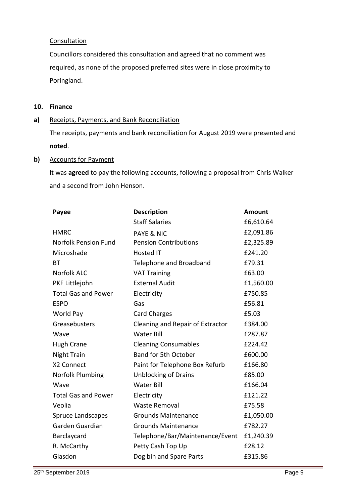## **Consultation**

Councillors considered this consultation and agreed that no comment was required, as none of the proposed preferred sites were in close proximity to Poringland.

## **10. Finance**

#### **a)** Receipts, Payments, and Bank Reconciliation

The receipts, payments and bank reconciliation for August 2019 were presented and **noted**.

## **b)** Accounts for Payment

It was **agreed** to pay the following accounts, following a proposal from Chris Walker and a second from John Henson.

| Payee                       | <b>Description</b>               | <b>Amount</b> |
|-----------------------------|----------------------------------|---------------|
|                             | <b>Staff Salaries</b>            | £6,610.64     |
| <b>HMRC</b>                 | <b>PAYE &amp; NIC</b>            | £2,091.86     |
| <b>Norfolk Pension Fund</b> | <b>Pension Contributions</b>     | £2,325.89     |
| Microshade                  | <b>Hosted IT</b>                 | £241.20       |
| ВT                          | Telephone and Broadband          | £79.31        |
| <b>Norfolk ALC</b>          | <b>VAT Training</b>              | £63.00        |
| PKF Littlejohn              | <b>External Audit</b>            | £1,560.00     |
| <b>Total Gas and Power</b>  | Electricity                      | £750.85       |
| <b>ESPO</b>                 | Gas                              | £56.81        |
| World Pay                   | <b>Card Charges</b>              | £5.03         |
| Greasebusters               | Cleaning and Repair of Extractor | £384.00       |
| Wave                        | <b>Water Bill</b>                | £287.87       |
| <b>Hugh Crane</b>           | <b>Cleaning Consumables</b>      | £224.42       |
| <b>Night Train</b>          | <b>Band for 5th October</b>      | £600.00       |
| X2 Connect                  | Paint for Telephone Box Refurb   | £166.80       |
| Norfolk Plumbing            | <b>Unblocking of Drains</b>      | £85.00        |
| Wave                        | <b>Water Bill</b>                | £166.04       |
| <b>Total Gas and Power</b>  | Electricity                      | £121.22       |
| Veolia                      | <b>Waste Removal</b>             | £75.58        |
| <b>Spruce Landscapes</b>    | <b>Grounds Maintenance</b>       | £1,050.00     |
| Garden Guardian             | <b>Grounds Maintenance</b>       | £782.27       |
| Barclaycard                 | Telephone/Bar/Maintenance/Event  | £1,240.39     |
| R. McCarthy                 | Petty Cash Top Up                | £28.12        |
| Glasdon                     | Dog bin and Spare Parts          | £315.86       |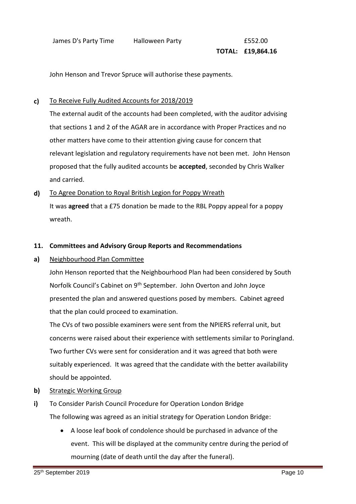# **TOTAL: £19,864.16**

John Henson and Trevor Spruce will authorise these payments.

#### **c)**  To Receive Fully Audited Accounts for 2018/2019

The external audit of the accounts had been completed, with the auditor advising that sections 1 and 2 of the AGAR are in accordance with Proper Practices and no other matters have come to their attention giving cause for concern that relevant legislation and regulatory requirements have not been met. John Henson proposed that the fully audited accounts be **accepted**, seconded by Chris Walker and carried.

**d)** To Agree Donation to Royal British Legion for Poppy Wreath It was **agreed** that a £75 donation be made to the RBL Poppy appeal for a poppy wreath.

# **11. Committees and Advisory Group Reports and Recommendations**

**a)** Neighbourhood Plan Committee

> John Henson reported that the Neighbourhood Plan had been considered by South Norfolk Council's Cabinet on 9th September. John Overton and John Joyce presented the plan and answered questions posed by members. Cabinet agreed that the plan could proceed to examination.

The CVs of two possible examiners were sent from the NPIERS referral unit, but concerns were raised about their experience with settlements similar to Poringland. Two further CVs were sent for consideration and it was agreed that both were suitably experienced. It was agreed that the candidate with the better availability should be appointed.

- **b)**  Strategic Working Group
- **i)** To Consider Parish Council Procedure for Operation London Bridge The following was agreed as an initial strategy for Operation London Bridge:
	- A loose leaf book of condolence should be purchased in advance of the event. This will be displayed at the community centre during the period of mourning (date of death until the day after the funeral).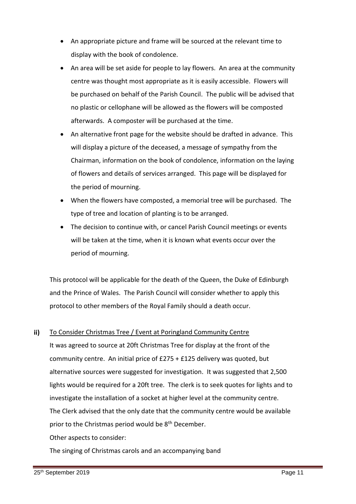- An appropriate picture and frame will be sourced at the relevant time to display with the book of condolence.
- An area will be set aside for people to lay flowers. An area at the community centre was thought most appropriate as it is easily accessible. Flowers will be purchased on behalf of the Parish Council. The public will be advised that no plastic or cellophane will be allowed as the flowers will be composted afterwards. A composter will be purchased at the time.
- An alternative front page for the website should be drafted in advance. This will display a picture of the deceased, a message of sympathy from the Chairman, information on the book of condolence, information on the laying of flowers and details of services arranged. This page will be displayed for the period of mourning.
- When the flowers have composted, a memorial tree will be purchased. The type of tree and location of planting is to be arranged.
- The decision to continue with, or cancel Parish Council meetings or events will be taken at the time, when it is known what events occur over the period of mourning.

This protocol will be applicable for the death of the Queen, the Duke of Edinburgh and the Prince of Wales. The Parish Council will consider whether to apply this protocol to other members of the Royal Family should a death occur.

#### **ii)**  To Consider Christmas Tree / Event at Poringland Community Centre

It was agreed to source at 20ft Christmas Tree for display at the front of the community centre. An initial price of £275 + £125 delivery was quoted, but alternative sources were suggested for investigation. It was suggested that 2,500 lights would be required for a 20ft tree. The clerk is to seek quotes for lights and to investigate the installation of a socket at higher level at the community centre. The Clerk advised that the only date that the community centre would be available prior to the Christmas period would be 8<sup>th</sup> December.

Other aspects to consider:

The singing of Christmas carols and an accompanying band